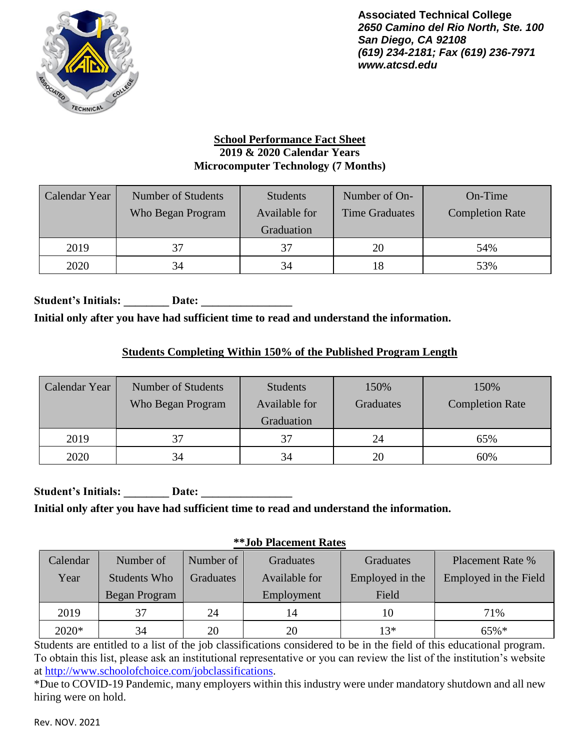

### **School Performance Fact Sheet 2019 & 2020 Calendar Years Microcomputer Technology (7 Months)**

| Calendar Year | Number of Students<br>Who Began Program | <b>Students</b><br>Available for<br>Graduation | Number of On-<br><b>Time Graduates</b> | On-Time<br><b>Completion Rate</b> |
|---------------|-----------------------------------------|------------------------------------------------|----------------------------------------|-----------------------------------|
| 2019          | 37                                      | 37                                             | 20                                     | 54%                               |
| 2020          | 34                                      | 34                                             | 18                                     | 53%                               |

Student's Initials: **Date: Date: Date: Date: Date: Date: Date: Date: Date: Date: Date: Date: Date: Date: Date: Date: Date: Date: Date: Date: Date: Date: Date: Date: Date: D Initial only after you have had sufficient time to read and understand the information.**

## **Students Completing Within 150% of the Published Program Length**

| Calendar Year | Number of Students<br>Who Began Program | <b>Students</b><br>Available for<br>Graduation | 150%<br><b>Graduates</b> | 150%<br><b>Completion Rate</b> |
|---------------|-----------------------------------------|------------------------------------------------|--------------------------|--------------------------------|
| 2019          | 37                                      | 37                                             | 24                       | 65%                            |
| 2020          | 34                                      | 34                                             | 20                       | 60%                            |

Student's Initials: Date: **Initial only after you have had sufficient time to read and understand the information.**

#### **\*\*Job Placement Rates**

| Calendar | Number of     | Number of        | Graduates     | <b>Graduates</b> | <b>Placement Rate %</b> |
|----------|---------------|------------------|---------------|------------------|-------------------------|
| Year     | Students Who  | <b>Graduates</b> | Available for | Employed in the  | Employed in the Field   |
|          | Began Program |                  | Employment    | Field            |                         |
| 2019     | 37            | 24               | 14            | 10               | 71%                     |
| 2020*    | 34            | 20               | 20            | $13*$            | $65\%*$                 |

Students are entitled to a list of the job classifications considered to be in the field of this educational program. To obtain this list, please ask an institutional representative or you can review the list of the institution's website at [http://www.schoolofchoice.com/jobclassifications.](http://www.schoolofchoice.com/jobclassifications)

\*Due to COVID-19 Pandemic, many employers within this industry were under mandatory shutdown and all new hiring were on hold.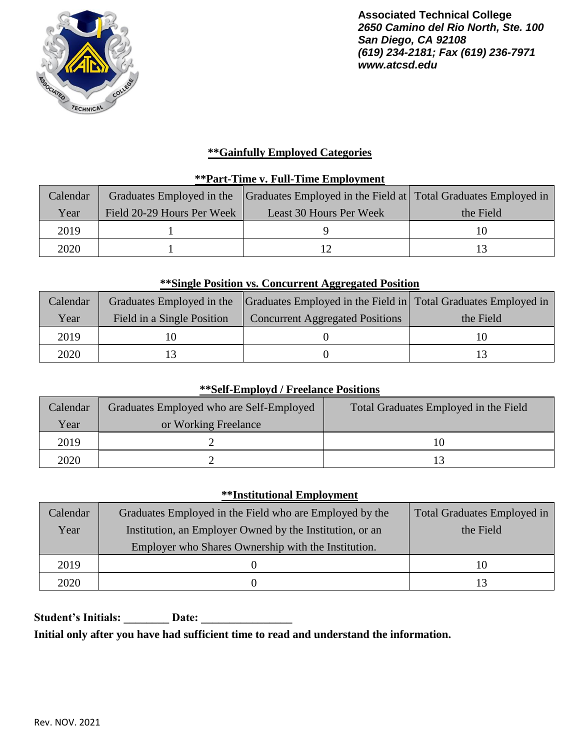

### **\*\*Gainfully Employed Categories**

### **\*\*Part-Time v. Full-Time Employment**

| Calendar | Graduates Employed in the  | Graduates Employed in the Field at Total Graduates Employed in |           |
|----------|----------------------------|----------------------------------------------------------------|-----------|
| Year     | Field 20-29 Hours Per Week | Least 30 Hours Per Week                                        | the Field |
| 2019     |                            |                                                                |           |
| 2020     |                            |                                                                |           |

#### **\*\*Single Position vs. Concurrent Aggregated Position**

| Calendar |                            | Graduates Employed in the Graduates Employed in the Field in Total Graduates Employed in |           |
|----------|----------------------------|------------------------------------------------------------------------------------------|-----------|
| Year     | Field in a Single Position | <b>Concurrent Aggregated Positions</b>                                                   | the Field |
| 2019     |                            |                                                                                          |           |
| 2020     |                            |                                                                                          |           |

### **\*\*Self-Employd / Freelance Positions**

| Calendar | Graduates Employed who are Self-Employed | Total Graduates Employed in the Field |
|----------|------------------------------------------|---------------------------------------|
| Year     | or Working Freelance                     |                                       |
| 2019     |                                          | 10                                    |
| 2020     |                                          |                                       |

### **\*\*Institutional Employment**

| Calendar | Graduates Employed in the Field who are Employed by the  | <b>Total Graduates Employed in</b> |
|----------|----------------------------------------------------------|------------------------------------|
| Year     | Institution, an Employer Owned by the Institution, or an | the Field                          |
|          | Employer who Shares Ownership with the Institution.      |                                    |
| 2019     |                                                          | 10                                 |
| 2020     |                                                          | 13                                 |

Student's Initials: Date: Date:

**Initial only after you have had sufficient time to read and understand the information.**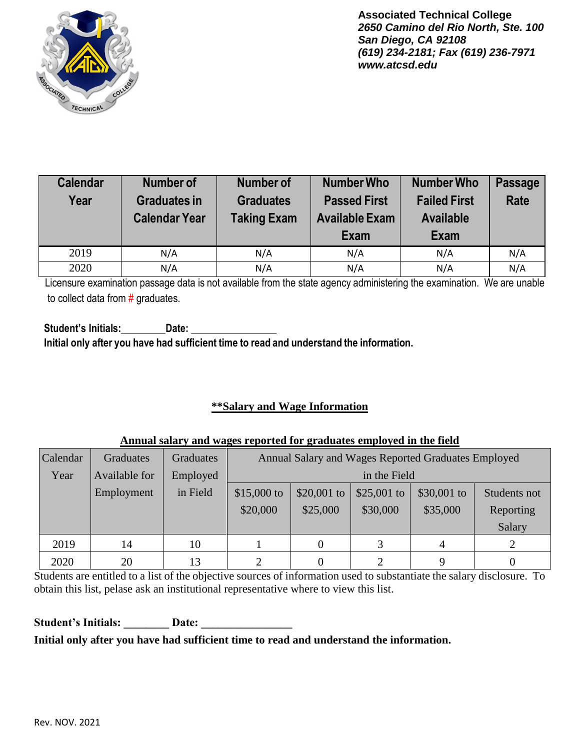

| <b>Calendar</b><br>Year | Number of<br><b>Graduates in</b><br><b>Calendar Year</b> | <b>Number of</b><br><b>Graduates</b><br><b>Taking Exam</b> | <b>Number Who</b><br><b>Passed First</b><br><b>Available Exam</b><br>Exam | <b>Number Who</b><br><b>Failed First</b><br><b>Available</b><br><b>Exam</b> | <b>Passage</b><br><b>Rate</b> |
|-------------------------|----------------------------------------------------------|------------------------------------------------------------|---------------------------------------------------------------------------|-----------------------------------------------------------------------------|-------------------------------|
| 2019                    | N/A                                                      | N/A                                                        | N/A                                                                       | N/A                                                                         | N/A                           |
| 2020                    | N/A                                                      | N/A                                                        | N/A                                                                       | N/A                                                                         | N/A                           |

Licensure examination passage data is not available from the state agency administering the examination. We are unable to collect data from # graduates.

**Student's Initials: Date: Initial only after you have had sufficient time to read and understand the information.**

### **\*\*Salary and Wage Information**

#### **Annual salary and wages reported for graduates employed in the field**

| Calendar | <b>Graduates</b> | <b>Graduates</b> | Annual Salary and Wages Reported Graduates Employed |                                                           |          |          |           |
|----------|------------------|------------------|-----------------------------------------------------|-----------------------------------------------------------|----------|----------|-----------|
| Year     | Available for    | Employed         |                                                     | in the Field                                              |          |          |           |
|          | Employment       | in Field         | \$15,000 to                                         | \$30,001 to<br>\$20,001 to<br>\$25,001 to<br>Students not |          |          |           |
|          |                  |                  | \$20,000                                            | \$25,000                                                  | \$30,000 | \$35,000 | Reporting |
|          |                  |                  |                                                     |                                                           |          |          | Salary    |
| 2019     | 14               | 10               |                                                     | 0                                                         |          | 4        |           |
| 2020     | 20               | 13               | ∍                                                   |                                                           |          |          |           |

Students are entitled to a list of the objective sources of information used to substantiate the salary disclosure. To obtain this list, pelase ask an institutional representative where to view this list.

Student's Initials: Date: Date:

**Initial only after you have had sufficient time to read and understand the information.**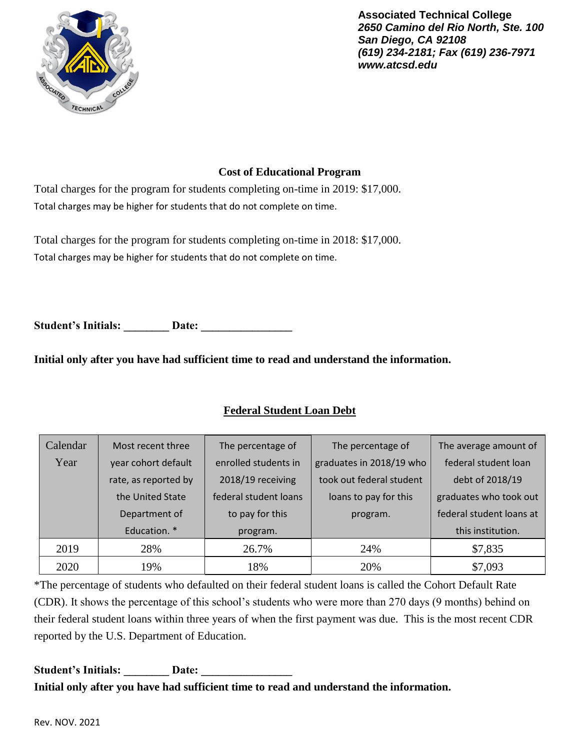

### **Cost of Educational Program**

Total charges for the program for students completing on-time in 2019: \$17,000. Total charges may be higher for students that do not complete on time.

Total charges for the program for students completing on-time in 2018: \$17,000. Total charges may be higher for students that do not complete on time.

Student's Initials: **Date: Date:** 

**Initial only after you have had sufficient time to read and understand the information.**

## **Federal Student Loan Debt**

| Calendar | Most recent three    | The percentage of     | The percentage of        | The average amount of    |
|----------|----------------------|-----------------------|--------------------------|--------------------------|
| Year     | year cohort default  | enrolled students in  | graduates in 2018/19 who | federal student loan     |
|          | rate, as reported by | 2018/19 receiving     | took out federal student | debt of 2018/19          |
|          | the United State     | federal student loans | loans to pay for this    | graduates who took out   |
|          | Department of        | to pay for this       | program.                 | federal student loans at |
|          | Education. *         | program.              |                          | this institution.        |
| 2019     | 28%                  | 26.7%                 | 24%                      | \$7,835                  |
| 2020     | 19%                  | 18%                   | 20%                      | \$7,093                  |

\*The percentage of students who defaulted on their federal student loans is called the Cohort Default Rate (CDR). It shows the percentage of this school's students who were more than 270 days (9 months) behind on their federal student loans within three years of when the first payment was due. This is the most recent CDR reported by the U.S. Department of Education.

### Student's Initials: **Date:** Date: **Initial only after you have had sufficient time to read and understand the information.**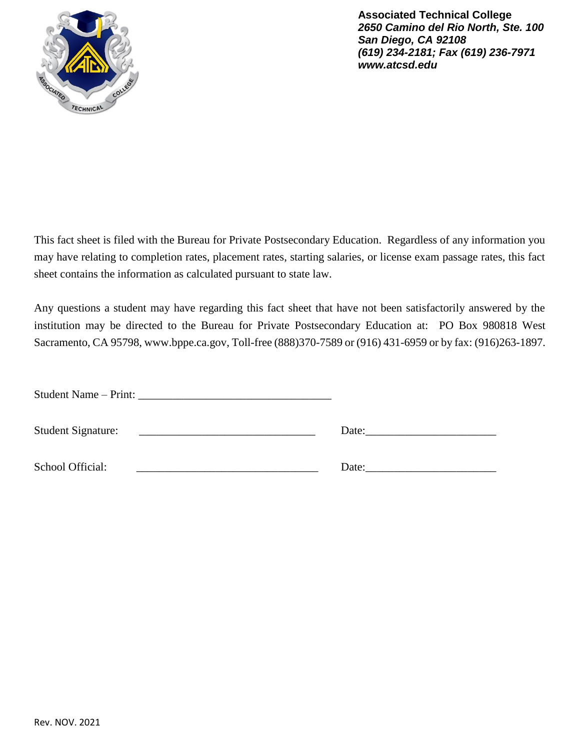

This fact sheet is filed with the Bureau for Private Postsecondary Education. Regardless of any information you may have relating to completion rates, placement rates, starting salaries, or license exam passage rates, this fact sheet contains the information as calculated pursuant to state law.

Any questions a student may have regarding this fact sheet that have not been satisfactorily answered by the institution may be directed to the Bureau for Private Postsecondary Education at: PO Box 980818 West Sacramento, CA 95798[, www.bppe.ca.gov,](http://www.bppe.ca.gov/) Toll-free (888)370-7589 or (916) 431-6959 or by fax: (916)263-1897.

| <b>Student Signature:</b> | Date: |
|---------------------------|-------|
| School Official:          | Date: |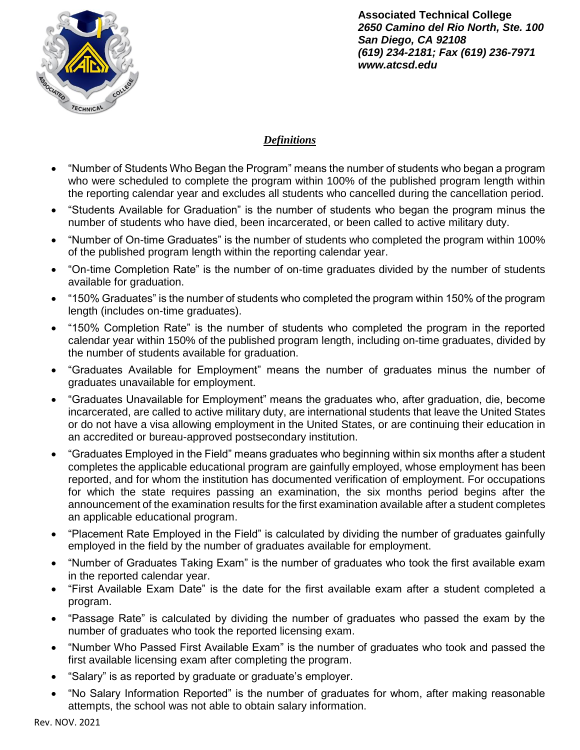

## *Definitions*

- "Number of Students Who Began the Program" means the number of students who began a program who were scheduled to complete the program within 100% of the published program length within the reporting calendar year and excludes all students who cancelled during the cancellation period.
- "Students Available for Graduation" is the number of students who began the program minus the number of students who have died, been incarcerated, or been called to active military duty.
- "Number of On-time Graduates" is the number of students who completed the program within 100% of the published program length within the reporting calendar year.
- "On-time Completion Rate" is the number of on-time graduates divided by the number of students available for graduation.
- "150% Graduates" is the number of students who completed the program within 150% of the program length (includes on-time graduates).
- "150% Completion Rate" is the number of students who completed the program in the reported calendar year within 150% of the published program length, including on-time graduates, divided by the number of students available for graduation.
- "Graduates Available for Employment" means the number of graduates minus the number of graduates unavailable for employment.
- "Graduates Unavailable for Employment" means the graduates who, after graduation, die, become incarcerated, are called to active military duty, are international students that leave the United States or do not have a visa allowing employment in the United States, or are continuing their education in an accredited or bureau-approved postsecondary institution.
- "Graduates Employed in the Field" means graduates who beginning within six months after a student completes the applicable educational program are gainfully employed, whose employment has been reported, and for whom the institution has documented verification of employment. For occupations for which the state requires passing an examination, the six months period begins after the announcement of the examination results for the first examination available after a student completes an applicable educational program.
- "Placement Rate Employed in the Field" is calculated by dividing the number of graduates gainfully employed in the field by the number of graduates available for employment.
- "Number of Graduates Taking Exam" is the number of graduates who took the first available exam in the reported calendar year.
- "First Available Exam Date" is the date for the first available exam after a student completed a program.
- "Passage Rate" is calculated by dividing the number of graduates who passed the exam by the number of graduates who took the reported licensing exam.
- "Number Who Passed First Available Exam" is the number of graduates who took and passed the first available licensing exam after completing the program.
- "Salary" is as reported by graduate or graduate's employer.
- "No Salary Information Reported" is the number of graduates for whom, after making reasonable attempts, the school was not able to obtain salary information.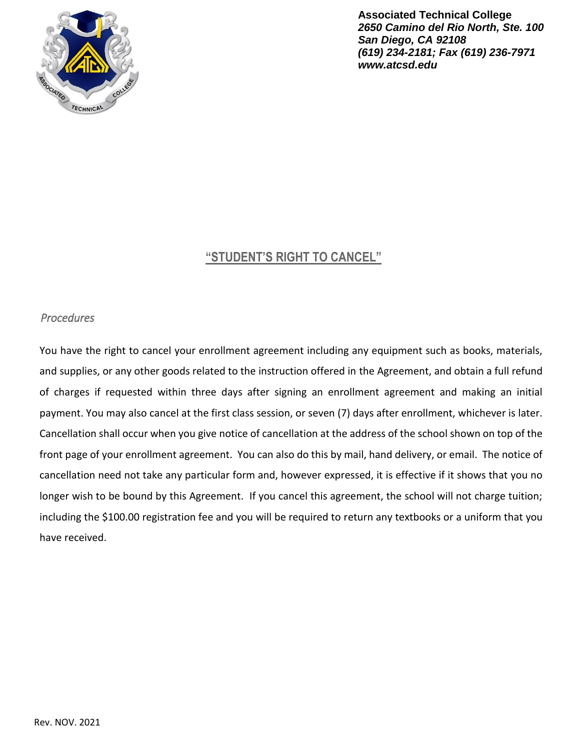

## **"STUDENT'S RIGHT TO CANCEL"**

#### *Procedures*

You have the right to cancel your enrollment agreement including any equipment such as books, materials, and supplies, or any other goods related to the instruction offered in the Agreement, and obtain a full refund of charges if requested within three days after signing an enrollment agreement and making an initial payment. You may also cancel at the first class session, or seven (7) days after enrollment, whichever is later. Cancellation shall occur when you give notice of cancellation at the address of the school shown on top of the front page of your enrollment agreement. You can also do this by mail, hand delivery, or email. The notice of cancellation need not take any particular form and, however expressed, it is effective if it shows that you no longer wish to be bound by this Agreement. If you cancel this agreement, the school will not charge tuition; including the \$100.00 registration fee and you will be required to return any textbooks or a uniform that you have received.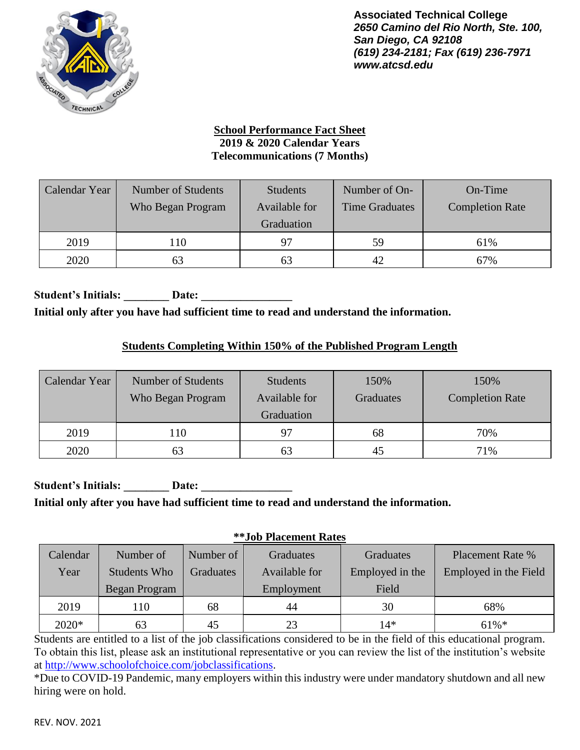

### **School Performance Fact Sheet 2019 & 2020 Calendar Years Telecommunications (7 Months)**

| Calendar Year | Number of Students<br>Who Began Program | Students<br>Available for<br>Graduation | Number of On-<br><b>Time Graduates</b> | On-Time<br><b>Completion Rate</b> |
|---------------|-----------------------------------------|-----------------------------------------|----------------------------------------|-----------------------------------|
| 2019          | 10                                      | 97                                      | 59                                     | 61%                               |
| 2020          | 63                                      | 63                                      | 42.                                    | 67%                               |

Student's Initials: **Date: Date: Initial only after you have had sufficient time to read and understand the information.**

## **Students Completing Within 150% of the Published Program Length**

| Calendar Year | Number of Students<br>Who Began Program | <b>Students</b><br>Available for<br>Graduation | 150%<br><b>Graduates</b> | 150%<br><b>Completion Rate</b> |
|---------------|-----------------------------------------|------------------------------------------------|--------------------------|--------------------------------|
| 2019          | 10                                      | 97                                             | 68                       | 70%                            |
| 2020          | 63                                      | 63                                             |                          | 71%                            |

Student's Initials: **Date:** Date: **Initial only after you have had sufficient time to read and understand the information.**

### **\*\*Job Placement Rates**

| Calendar | Number of     | Number of 1 | Graduates     | Graduates       | <b>Placement Rate %</b> |
|----------|---------------|-------------|---------------|-----------------|-------------------------|
| Year     | Students Who  | Graduates   | Available for | Employed in the | Employed in the Field   |
|          | Began Program |             | Employment    | Field           |                         |
| 2019     | 110           | 68          | 44            | 30              | 68%                     |
| $2020*$  | 63            | 45          | 23            | 14*             | $61\%$ <sup>*</sup>     |

Students are entitled to a list of the job classifications considered to be in the field of this educational program. To obtain this list, please ask an institutional representative or you can review the list of the institution's website at [http://www.schoolofchoice.com/jobclassifications.](http://www.schoolofchoice.com/jobclassifications)

\*Due to COVID-19 Pandemic, many employers within this industry were under mandatory shutdown and all new hiring were on hold.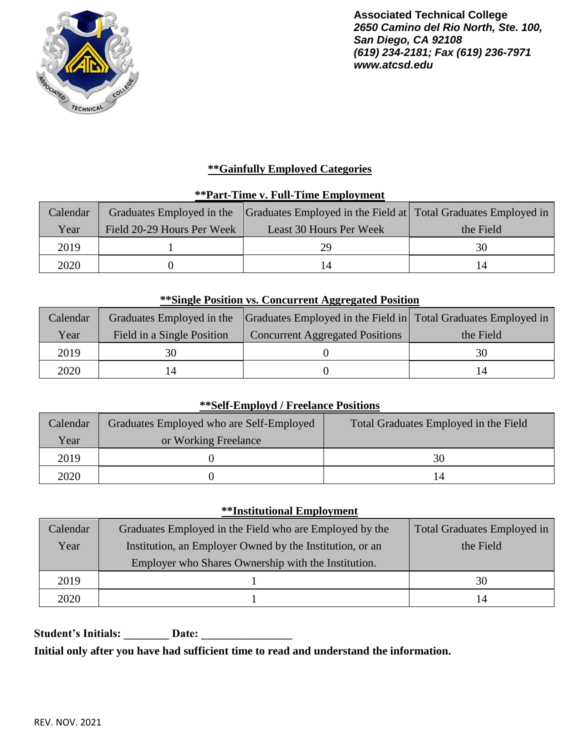

## **\*\*Gainfully Employed Categories**

### **\*\*Part-Time v. Full-Time Employment**

| Calendar |                            | Graduates Employed in the Graduates Employed in the Field at Total Graduates Employed in |           |
|----------|----------------------------|------------------------------------------------------------------------------------------|-----------|
| Year     | Field 20-29 Hours Per Week | Least 30 Hours Per Week                                                                  | the Field |
| 2019     |                            | 29                                                                                       | 30        |
| 2020     |                            |                                                                                          |           |

### **\*\*Single Position vs. Concurrent Aggregated Position**

| Calendar |                            | Graduates Employed in the Graduates Employed in the Field in Total Graduates Employed in |           |
|----------|----------------------------|------------------------------------------------------------------------------------------|-----------|
| Year     | Field in a Single Position | <b>Concurrent Aggregated Positions</b>                                                   | the Field |
| 2019     |                            |                                                                                          | 30        |
| 2020     |                            |                                                                                          |           |

#### **\*\*Self-Employd / Freelance Positions**

| Calendar | Graduates Employed who are Self-Employed | Total Graduates Employed in the Field |
|----------|------------------------------------------|---------------------------------------|
| Year     | or Working Freelance                     |                                       |
| 2019     |                                          | 30                                    |
| 2020     |                                          | 14                                    |

#### **\*\*Institutional Employment**

| Calendar | Graduates Employed in the Field who are Employed by the  | Total Graduates Employed in |
|----------|----------------------------------------------------------|-----------------------------|
| Year     | Institution, an Employer Owned by the Institution, or an | the Field                   |
|          | Employer who Shares Ownership with the Institution.      |                             |
| 2019     |                                                          | 30                          |
| 2020     |                                                          | 14                          |

**Student's Initials: \_\_\_\_\_\_\_\_ Date: \_\_\_\_\_\_\_\_\_\_\_\_\_\_\_\_**

**Initial only after you have had sufficient time to read and understand the information.**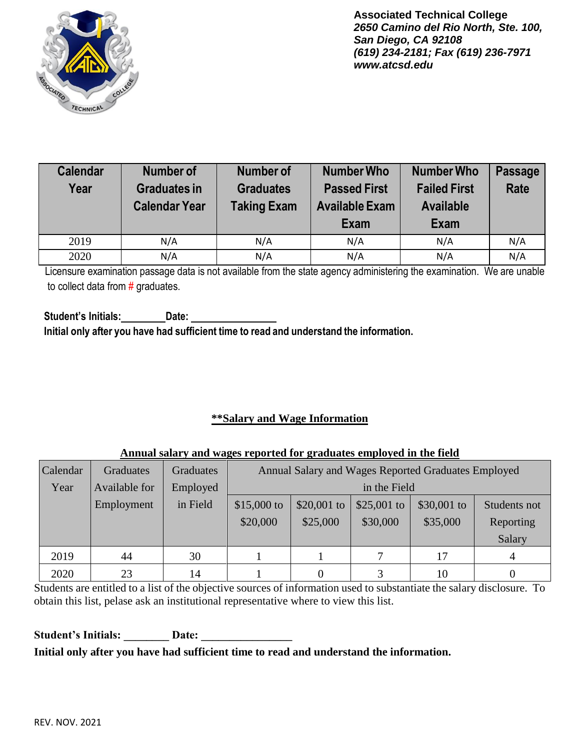

| <b>Calendar</b><br>Year | <b>Number of</b><br><b>Graduates in</b><br><b>Calendar Year</b> | <b>Number of</b><br><b>Graduates</b><br><b>Taking Exam</b> | <b>Number Who</b><br><b>Passed First</b><br><b>Available Exam</b><br>Exam | <b>Number Who</b><br><b>Failed First</b><br><b>Available</b><br>Exam | <b>Passage</b><br>Rate |
|-------------------------|-----------------------------------------------------------------|------------------------------------------------------------|---------------------------------------------------------------------------|----------------------------------------------------------------------|------------------------|
| 2019                    | N/A                                                             | N/A                                                        | N/A                                                                       | N/A                                                                  | N/A                    |
| 2020                    | N/A                                                             | N/A                                                        | N/A                                                                       | N/A                                                                  | N/A                    |

Licensure examination passage data is not available from the state agency administering the examination. We are unable to collect data from  $#$  graduates.

**Student's Initials: Date: Initial only after you have had sufficient time to read and understand the information.**

### **\*\*Salary and Wage Information**

#### **Annual salary and wages reported for graduates employed in the field**

| Calendar | <b>Graduates</b> | <b>Graduates</b> | Annual Salary and Wages Reported Graduates Employed |             |             |             |              |
|----------|------------------|------------------|-----------------------------------------------------|-------------|-------------|-------------|--------------|
| Year     | Available for    | Employed         | in the Field                                        |             |             |             |              |
|          | Employment       | in Field         | $$15,000$ to                                        | \$20,001 to | \$25,001 to | \$30,001 to | Students not |
|          |                  |                  | \$20,000                                            | \$25,000    | \$30,000    | \$35,000    | Reporting    |
|          |                  |                  |                                                     |             |             |             | Salary       |
| 2019     | 44               | 30               |                                                     |             |             | 17          |              |
| 2020     | 23               | 14               |                                                     |             |             | 10          |              |

Students are entitled to a list of the objective sources of information used to substantiate the salary disclosure. To obtain this list, pelase ask an institutional representative where to view this list.

Student's Initials: Date: **Initial only after you have had sufficient time to read and understand the information.**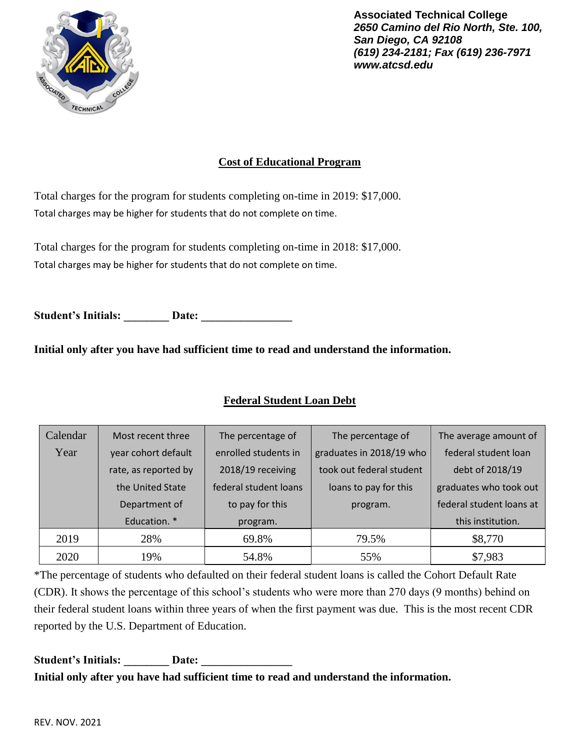

## **Cost of Educational Program**

Total charges for the program for students completing on-time in 2019: \$17,000. Total charges may be higher for students that do not complete on time.

Total charges for the program for students completing on-time in 2018: \$17,000. Total charges may be higher for students that do not complete on time.

Student's Initials: **Date: Date:** 

**Initial only after you have had sufficient time to read and understand the information.**

## **Federal Student Loan Debt**

| Calendar | Most recent three    | The percentage of     | The percentage of        | The average amount of    |
|----------|----------------------|-----------------------|--------------------------|--------------------------|
| Year     | year cohort default  | enrolled students in  | graduates in 2018/19 who | federal student loan     |
|          | rate, as reported by | 2018/19 receiving     | took out federal student | debt of 2018/19          |
|          | the United State     | federal student loans | loans to pay for this    | graduates who took out   |
|          | Department of        | to pay for this       | program.                 | federal student loans at |
|          | Education. *         | program.              |                          | this institution.        |
| 2019     | 28%                  | 69.8%                 | 79.5%                    | \$8,770                  |
| 2020     | 19%                  | 54.8%                 | 55%                      | \$7,983                  |

\*The percentage of students who defaulted on their federal student loans is called the Cohort Default Rate (CDR). It shows the percentage of this school's students who were more than 270 days (9 months) behind on their federal student loans within three years of when the first payment was due. This is the most recent CDR reported by the U.S. Department of Education.

# Student's Initials: **Date: Date: Initial only after you have had sufficient time to read and understand the information.**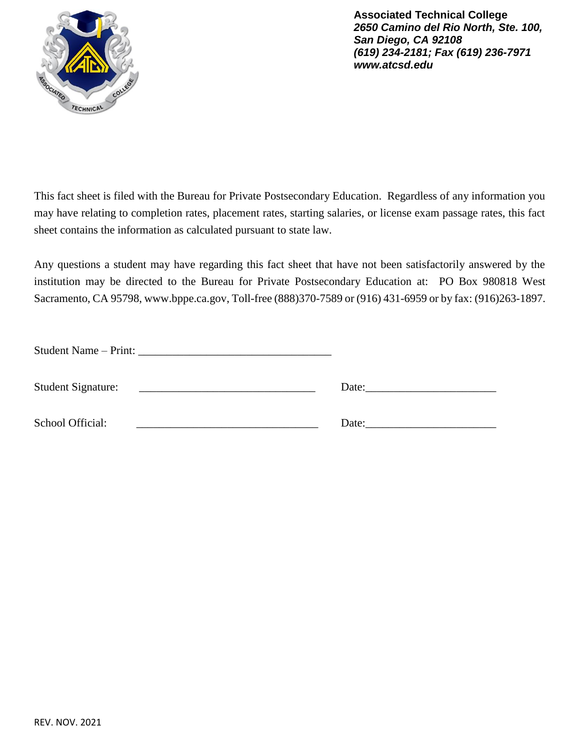

This fact sheet is filed with the Bureau for Private Postsecondary Education. Regardless of any information you may have relating to completion rates, placement rates, starting salaries, or license exam passage rates, this fact sheet contains the information as calculated pursuant to state law.

Any questions a student may have regarding this fact sheet that have not been satisfactorily answered by the institution may be directed to the Bureau for Private Postsecondary Education at: PO Box 980818 West Sacramento, CA 95798[, www.bppe.ca.gov,](http://www.bppe.ca.gov/) Toll-free (888)370-7589 or (916) 431-6959 or by fax: (916)263-1897.

| Student Name – Print:                                                                                                                              |  |
|----------------------------------------------------------------------------------------------------------------------------------------------------|--|
| <b>Student Signature:</b><br><u> 1989 - Jan Alexandria de Alexandria de la contrada de la contrada de la contrada de la contrada de la contrad</u> |  |
| School Official:<br>the contract of the contract of the contract of the contract of the contract of                                                |  |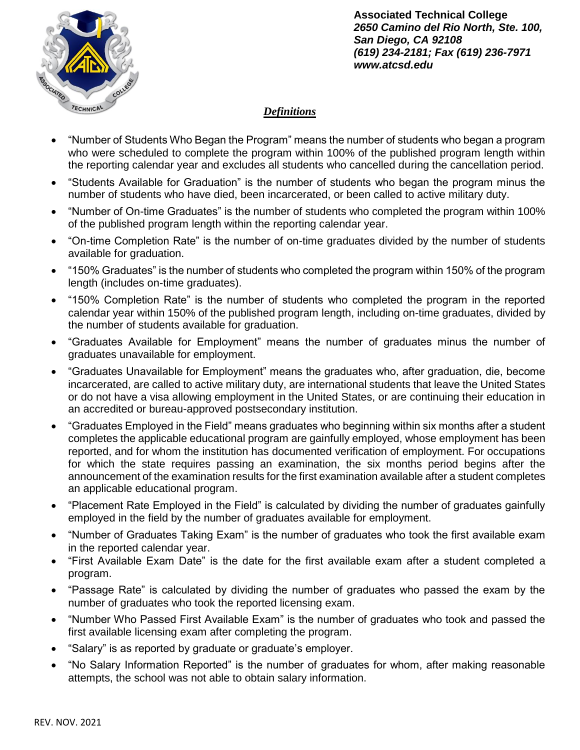

## *Definitions*

- "Number of Students Who Began the Program" means the number of students who began a program who were scheduled to complete the program within 100% of the published program length within the reporting calendar year and excludes all students who cancelled during the cancellation period.
- "Students Available for Graduation" is the number of students who began the program minus the number of students who have died, been incarcerated, or been called to active military duty.
- "Number of On-time Graduates" is the number of students who completed the program within 100% of the published program length within the reporting calendar year.
- "On-time Completion Rate" is the number of on-time graduates divided by the number of students available for graduation.
- "150% Graduates" is the number of students who completed the program within 150% of the program length (includes on-time graduates).
- "150% Completion Rate" is the number of students who completed the program in the reported calendar year within 150% of the published program length, including on-time graduates, divided by the number of students available for graduation.
- "Graduates Available for Employment" means the number of graduates minus the number of graduates unavailable for employment.
- "Graduates Unavailable for Employment" means the graduates who, after graduation, die, become incarcerated, are called to active military duty, are international students that leave the United States or do not have a visa allowing employment in the United States, or are continuing their education in an accredited or bureau-approved postsecondary institution.
- "Graduates Employed in the Field" means graduates who beginning within six months after a student completes the applicable educational program are gainfully employed, whose employment has been reported, and for whom the institution has documented verification of employment. For occupations for which the state requires passing an examination, the six months period begins after the announcement of the examination results for the first examination available after a student completes an applicable educational program.
- "Placement Rate Employed in the Field" is calculated by dividing the number of graduates gainfully employed in the field by the number of graduates available for employment.
- "Number of Graduates Taking Exam" is the number of graduates who took the first available exam in the reported calendar year.
- "First Available Exam Date" is the date for the first available exam after a student completed a program.
- "Passage Rate" is calculated by dividing the number of graduates who passed the exam by the number of graduates who took the reported licensing exam.
- "Number Who Passed First Available Exam" is the number of graduates who took and passed the first available licensing exam after completing the program.
- "Salary" is as reported by graduate or graduate's employer.
- "No Salary Information Reported" is the number of graduates for whom, after making reasonable attempts, the school was not able to obtain salary information.